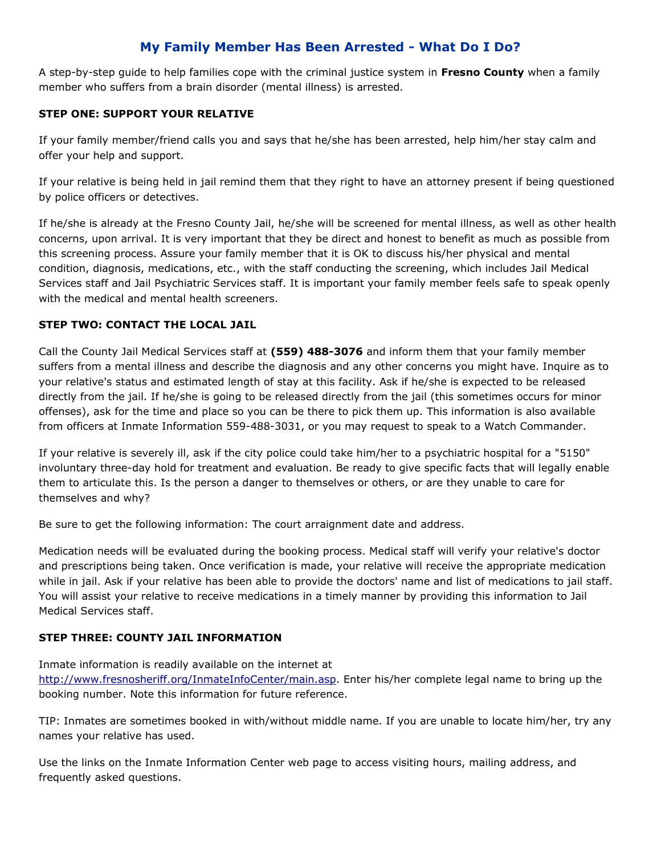## **My Family Member Has Been Arrested - What Do I Do?**

A step-by-step guide to help families cope with the criminal justice system in **Fresno County** when a family member who suffers from a brain disorder (mental illness) is arrested.

#### **STEP ONE: SUPPORT YOUR RELATIVE**

If your family member/friend calls you and says that he/she has been arrested, help him/her stay calm and offer your help and support.

If your relative is being held in jail remind them that they right to have an attorney present if being questioned by police officers or detectives.

If he/she is already at the Fresno County Jail, he/she will be screened for mental illness, as well as other health concerns, upon arrival. It is very important that they be direct and honest to benefit as much as possible from this screening process. Assure your family member that it is OK to discuss his/her physical and mental condition, diagnosis, medications, etc., with the staff conducting the screening, which includes Jail Medical Services staff and Jail Psychiatric Services staff. It is important your family member feels safe to speak openly with the medical and mental health screeners.

#### **STEP TWO: CONTACT THE LOCAL JAIL**

Call the County Jail Medical Services staff at **(559) 488-3076** and inform them that your family member suffers from a mental illness and describe the diagnosis and any other concerns you might have. Inquire as to your relative's status and estimated length of stay at this facility. Ask if he/she is expected to be released directly from the jail. If he/she is going to be released directly from the jail (this sometimes occurs for minor offenses), ask for the time and place so you can be there to pick them up. This information is also available from officers at Inmate Information 559-488-3031, or you may request to speak to a Watch Commander.

If your relative is severely ill, ask if the city police could take him/her to a psychiatric hospital for a "5150" involuntary three-day hold for treatment and evaluation. Be ready to give specific facts that will legally enable them to articulate this. Is the person a danger to themselves or others, or are they unable to care for themselves and why?

Be sure to get the following information: The court arraignment date and address.

Medication needs will be evaluated during the booking process. Medical staff will verify your relative's doctor and prescriptions being taken. Once verification is made, your relative will receive the appropriate medication while in jail. Ask if your relative has been able to provide the doctors' name and list of medications to jail staff. You will assist your relative to receive medications in a timely manner by providing this information to Jail Medical Services staff.

#### **STEP THREE: COUNTY JAIL INFORMATION**

Inmate information is readily available on the internet at [http://www.fresnosheriff.org/InmateInfoCenter/main.asp.](http://www.fresnosheriff.org/InmateInfoCenter/Main.asp) Enter his/her complete legal name to bring up the booking number. Note this information for future reference.

TIP: Inmates are sometimes booked in with/without middle name. If you are unable to locate him/her, try any names your relative has used.

Use the links on the Inmate Information Center web page to access visiting hours, mailing address, and frequently asked questions.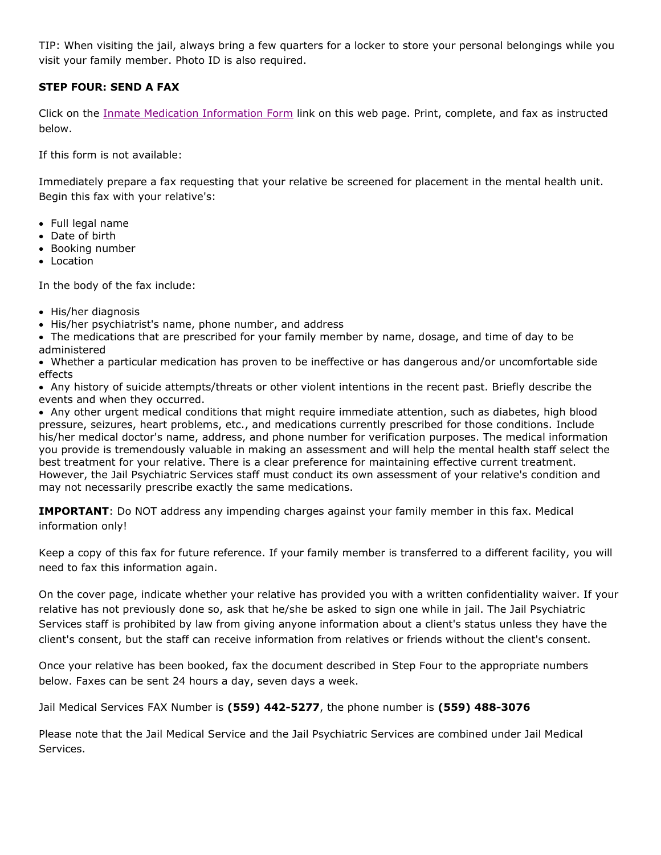TIP: When visiting the jail, always bring a few quarters for a locker to store your personal belongings while you visit your family member. Photo ID is also required.

### **STEP FOUR: SEND A FAX**

Click on the [Inmate Medication Information Form](http://www.fresnosheriff.org/Sheriff/Bureaus/inmate_medication_form.pdf) link on this web page. Print, complete, and fax as instructed below.

If this form is not available:

Immediately prepare a fax requesting that your relative be screened for placement in the mental health unit. Begin this fax with your relative's:

- Full legal name
- Date of birth
- Booking number
- Location

In the body of the fax include:

- His/her diagnosis
- His/her psychiatrist's name, phone number, and address
- The medications that are prescribed for your family member by name, dosage, and time of day to be administered

 Whether a particular medication has proven to be ineffective or has dangerous and/or uncomfortable side effects

 Any history of suicide attempts/threats or other violent intentions in the recent past. Briefly describe the events and when they occurred.

 Any other urgent medical conditions that might require immediate attention, such as diabetes, high blood pressure, seizures, heart problems, etc., and medications currently prescribed for those conditions. Include his/her medical doctor's name, address, and phone number for verification purposes. The medical information you provide is tremendously valuable in making an assessment and will help the mental health staff select the best treatment for your relative. There is a clear preference for maintaining effective current treatment. However, the Jail Psychiatric Services staff must conduct its own assessment of your relative's condition and may not necessarily prescribe exactly the same medications.

**IMPORTANT**: Do NOT address any impending charges against your family member in this fax. Medical information only!

Keep a copy of this fax for future reference. If your family member is transferred to a different facility, you will need to fax this information again.

On the cover page, indicate whether your relative has provided you with a written confidentiality waiver. If your relative has not previously done so, ask that he/she be asked to sign one while in jail. The Jail Psychiatric Services staff is prohibited by law from giving anyone information about a client's status unless they have the client's consent, but the staff can receive information from relatives or friends without the client's consent.

Once your relative has been booked, fax the document described in Step Four to the appropriate numbers below. Faxes can be sent 24 hours a day, seven days a week.

Jail Medical Services FAX Number is **(559) 442-5277**, the phone number is **(559) 488-3076**

Please note that the Jail Medical Service and the Jail Psychiatric Services are combined under Jail Medical Services.